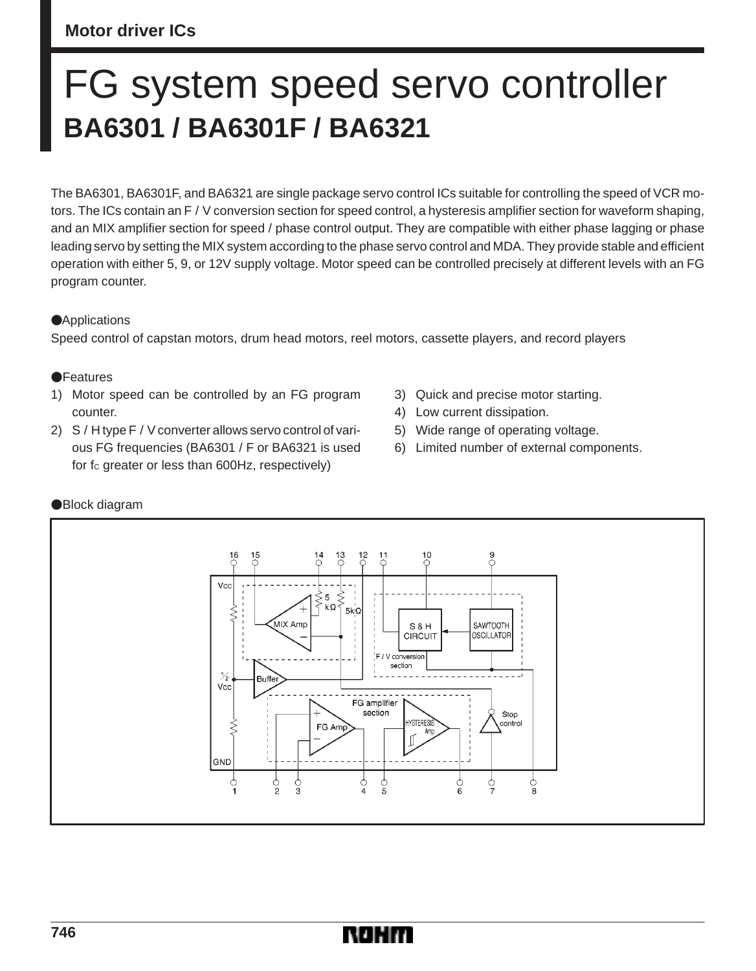## **Motor driver ICs**

# FG system speed servo controller **BA6301 / BA6301F / BA6321**

The BA6301, BA6301F, and BA6321 are single package servo control ICs suitable for controlling the speed of VCR motors. The ICs contain an F / V conversion section for speed control, a hysteresis amplifier section for waveform shaping, and an MIX amplifier section for speed / phase control output. They are compatible with either phase lagging or phase leading servo by setting the MIX system according to the phase servo control and MDA. They provide stable and efficient operation with either 5, 9, or 12V supply voltage. Motor speed can be controlled precisely at different levels with an FG program counter.

## **Applications**

Speed control of capstan motors, drum head motors, reel motors, cassette players, and record players

#### **OF**eatures

- 1) Motor speed can be controlled by an FG program counter.
- 2) S / H type F / V converter allows servo control of various FG frequencies (BA6301 / F or BA6321 is used for fc greater or less than 600Hz, respectively)
- 3) Quick and precise motor starting.
- 4) Low current dissipation.
- 5) Wide range of operating voltage.
- 6) Limited number of external components.



## Block diagram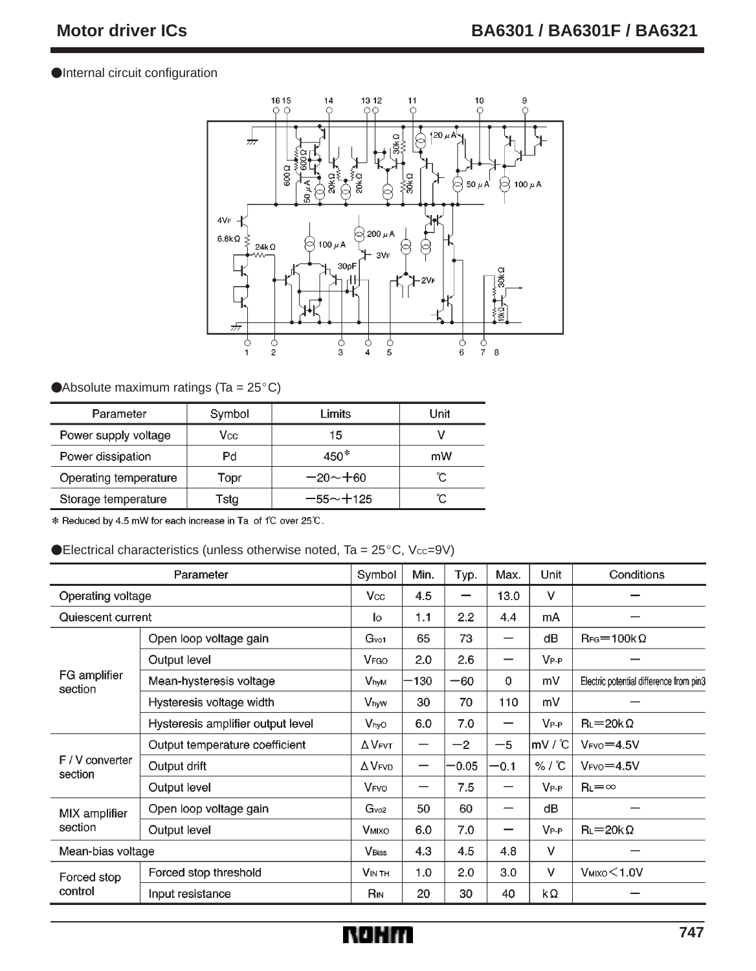#### Internal circuit configuration



#### Absolute maximum ratings (Ta =  $25^{\circ}$ C)

| Parameter             | Symbol | Limits       | Unit |
|-----------------------|--------|--------------|------|
| Power supply voltage  | Vcc    | 15           |      |
| Power dissipation     | Pd     | $450*$       | mW   |
| Operating temperature | Topr   | $-20 - +60$  | °C   |
| Storage temperature   | Tstg   | $-55 - +125$ | ĈС   |

\* Reduced by 4.5 mW for each increase in Ta of 1°C over 25°C.

#### $\blacklozenge$  Electrical characteristics (unless otherwise noted, Ta = 25 $^{\circ}$ C, Vcc=9V)

| Parameter                  |                                   | Symbol                    | Min. | Typ.    | Max.   | Unit             | Conditions                              |
|----------------------------|-----------------------------------|---------------------------|------|---------|--------|------------------|-----------------------------------------|
| Operating voltage          |                                   | <b>Vcc</b>                | 4.5  | —       | 13.0   | $\vee$           |                                         |
| Quiescent current          |                                   | lo                        | 1.1  | 2.2     | 4.4    | mA               |                                         |
| FG amplifier<br>section    | Open loop voltage gain            | G <sub>vo1</sub>          | 65   | 73      | —      | dB               | $\text{Rg}=100\text{k}\Omega$           |
|                            | Output level                      | <b>V<sub>FGO</sub></b>    | 2.0  | 2.6     |        | $V_{P-P}$        |                                         |
|                            | Mean-hysteresis voltage           | <b>VhyM</b>               | 130  | $-60$   | 0      | m۷               | Electric potential difference from pin3 |
|                            | Hysteresis voltage width          | VhyW                      | 30   | 70      | 110    | mV               |                                         |
|                            | Hysteresis amplifier output level | Vhyo                      | 6.0  | 7.0     |        | $V_{P-P}$        | $R_l = 20k\Omega$                       |
| F / V converter<br>section | Output temperature coefficient    | $\Delta$ VFVT             |      | $-2$    | $-5$   | $MV^{\circ}C$    | $VFVO=4.5V$                             |
|                            | Output drift                      | $\Delta$ V <sub>FVD</sub> | -    | $-0.05$ | $-0.1$ | % / C            | $V_{FVO} = 4.5V$                        |
|                            | Output level                      | <b>V<sub>FVO</sub></b>    |      | 7.5     |        | $V_{P\text{-}P}$ | $R_l = \infty$                          |
| MIX amplifier<br>section   | Open loop voltage gain            | Gv <sub>02</sub>          | 50   | 60      |        | dВ               |                                         |
|                            | Output level                      | <b>VMIXO</b>              | 6.0  | 7.0     | –      | $V_{P-P}$        | $R_l = 20k\Omega$                       |
| Mean-bias voltage          |                                   | <b>V</b> Bias             | 4.3  | 4.5     | 4.8    | $\vee$           |                                         |
| Forced stop<br>control     | Forced stop threshold             | <b>VIN TH</b>             | 1.0  | 2.0     | 3.0    | v                | $V$ MIXO $<$ 1.0V                       |
|                            | Input resistance                  | R <sub>IN</sub>           | 20   | 30      | 40     | kΩ               |                                         |

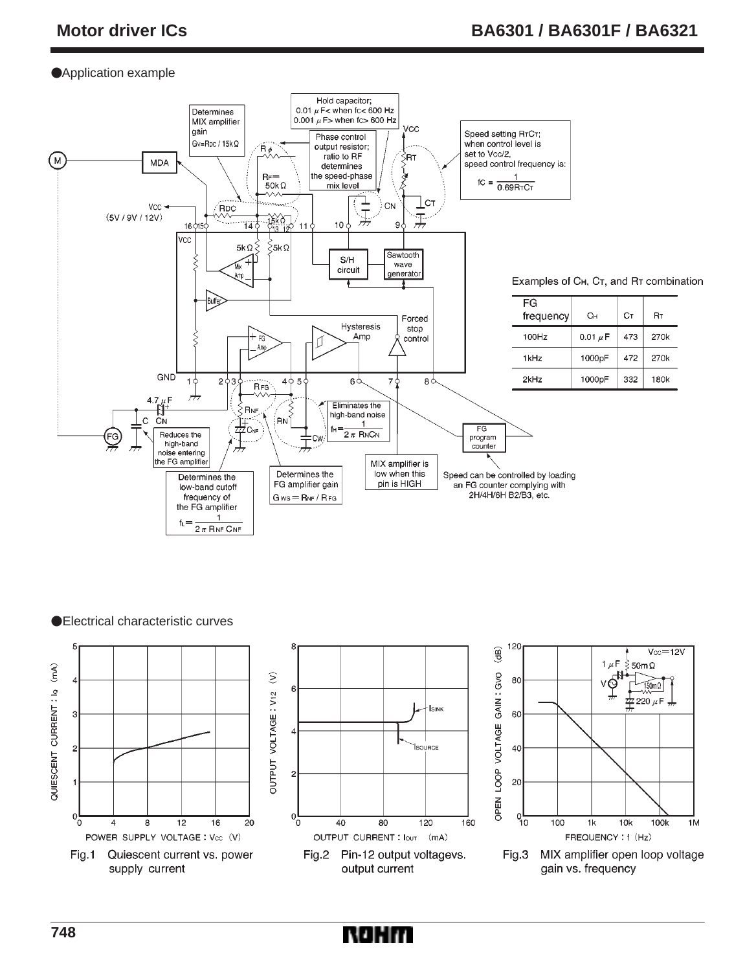## Application example



●Electrical characteristic curves